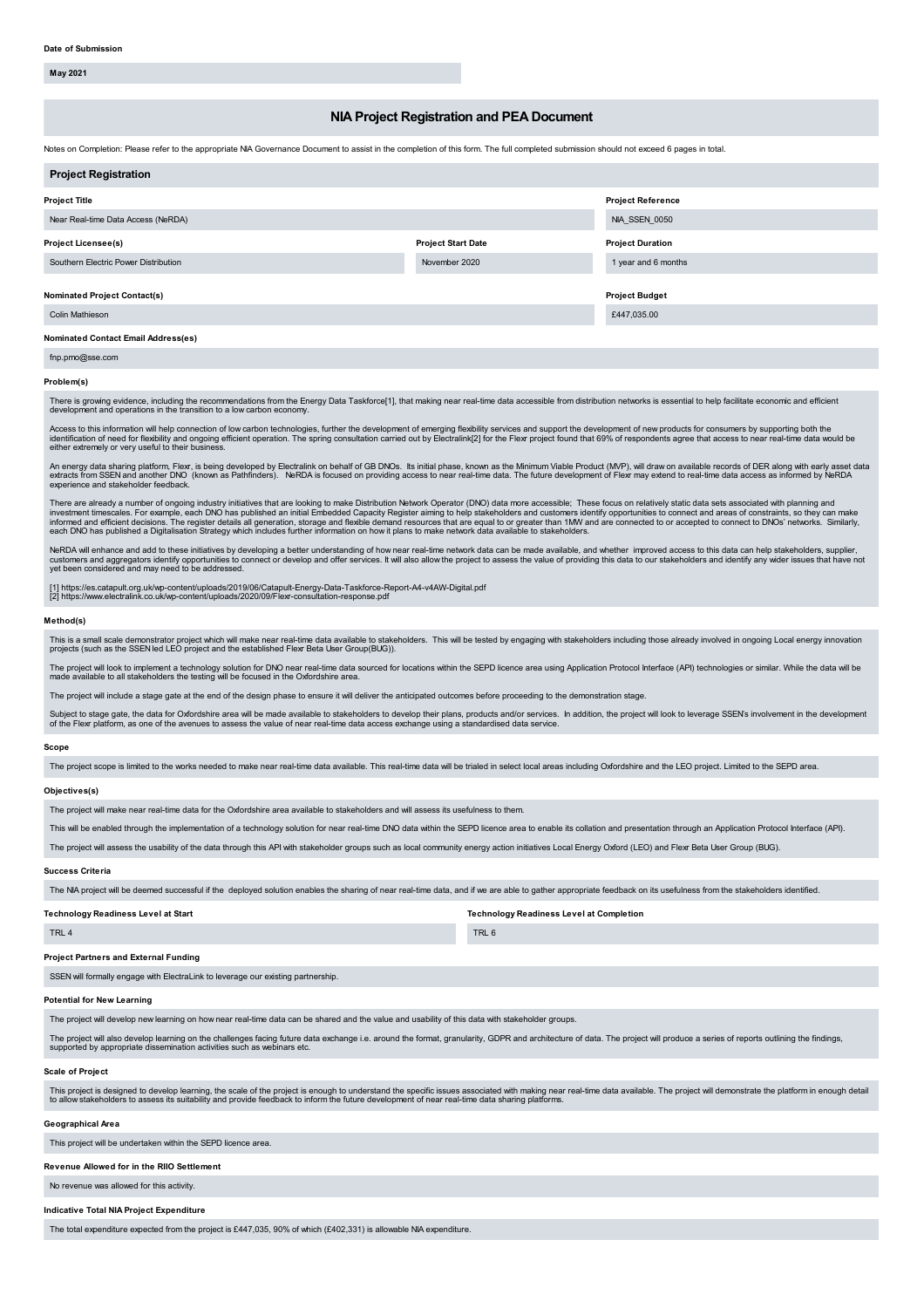**May 2021**

# **NIA Project Registration and PEA Document**

Notes on Completion: Please refer to the appropriate NIA Governance Document to assist in the completion of this form. The full completed submission should not exceed 6 pages in total.

| <b>Project Registration</b>                |                           |                          |
|--------------------------------------------|---------------------------|--------------------------|
| <b>Project Title</b>                       |                           | <b>Project Reference</b> |
| Near Real-time Data Access (NeRDA)         |                           | NIA SSEN 0050            |
| <b>Project Licensee(s)</b>                 | <b>Project Start Date</b> | <b>Project Duration</b>  |
| Southern Electric Power Distribution       | November 2020             | 1 year and 6 months      |
| <b>Nominated Project Contact(s)</b>        |                           | <b>Project Budget</b>    |
| Colin Mathieson                            |                           | £447,035.00              |
| <b>Nominated Contact Email Address(es)</b> |                           |                          |
| fnp.pmo@sse.com                            |                           |                          |

#### **Problem(s)**

There is growing evidence, including the recommendations from the Energy Data Taskforce[1], that making near real-time data accessible from distribution networks is essential to help facilitate economic and efficient<br>devel

Access to this information will help connection of low carbon technologies, further the development of emerging flexibility services and support the development of new products for consumers by supporting both the<br>identifi

An energy data sharing platform, Flexr, is being developed by Electralink on behalf of GB DNOs. Its initial phase, known as the Minimum Viable Product (MVP), will draw on available records of DER along with early asset dat experience and stakeholder feedback.

There are already a number of ongoing industry initiatives that are looking to make Distribution Network Operator (DNO) data more accessible; These focus on relatively static data sets associated with planning and investme

NeRDA will enhance and add to these initiatives by developing a better understanding of how near real-time network data can be made available, and whether improved access to this data can help stakeholders, supplier, customers and aggregators identify opportunities to connect or develop and offer services. It will also allow the project to assess the value of providing this data to our stakeholders and identify any wider issues that ha

[1] https://es.catapult.org.uk/wp-content/uploads/2019/06/Catapult-Energy-Data-Taskforce-Report-A4-v4AW-Digital.pdf<br>[2] https://www.electralink.co.uk/wp-content/uploads/2020/09/Flexr-consultation-response.pdf

#### **Method(s)**

This is a small scale demonstrator project which will make near real-time data available to stakeholders. This will be tested by engaging with stakeholders including those already involved in ongoing Local energy innovatio

The project will look to implement a technology solution for DNO near real-time data sourced for locations within the SEPD licence area using Application Protocol Interface (API) technologies or similar. While the data wil

The project will include a stage gate at the end of the design phase to ensure it will deliver the anticipated outcomes before proceeding to the demonstration stage.

Subject to stage gate, the data for Oxfordshire area will be made available to stakeholders to develop their plans, products and/or services. In addition, the project will look to leverage SSEN's involvement in the develop

#### **Scope**

The project scope is limited to the works needed to make near real-time data available. This real-time data will be trialed in select local areas including Oxfordshire and the LEO project. Limited to the SEPD area.

## **Objectives(s)**

The project will make near real-time data for the Oxfordshire area available to stakeholders and will assess its usefulness to them.

This will be enabled through the implementation of a technology solution for near real-time DNO data within the SEPD licence area to enable its collation and presentation through an Application Protocol Interface (API).

The project will assess the usability of the data through this API with stakeholder groups such as local community energy action initiatives Local Energy Oxford (LEO) and Flexr Beta User Group (BUG).

#### **Success Criteria**

The NIA project will be deemed successful if the deployed solution enables the sharing of near real-time data, and if we are able to gather appropriate feedback on its usefulness from the stakeholders identified.

# **Technology Readiness Level at Start**

TRL 4

# TRL 6

**Technology Readiness Level at Completion**

# **Project Partners and External Funding**

SSEN will formally engage with ElectraLink to leverage our existing partnership.

## **Potential for New Learning**

The project will develop new learning on how near real-time data can be shared and the value and usability of this data with stakeholder groups.

The project will also develop learning on the challenges facing future data exchange i.e. around the format, granularity, GDPR and architecture of data. The project will produce a series of reports outlining the findings,<br>

#### **Scale of Project**

This project is designed to develop learning, the scale of the project is enough to understand the specific issues associated with making near real-time data available. The project will demonstrate the platform in enough d

# **Geographical Area**

This project will be undertaken within the SEPD licence area.

# **Revenue Allowed for in the RIIO Settlement**

No revenue was allowed for this activity.

### **Indicative Total NIA Project Expenditure**

The total expenditure expected from the project is £447,035, 90% of which (£402,331) is allowable NIA expenditure.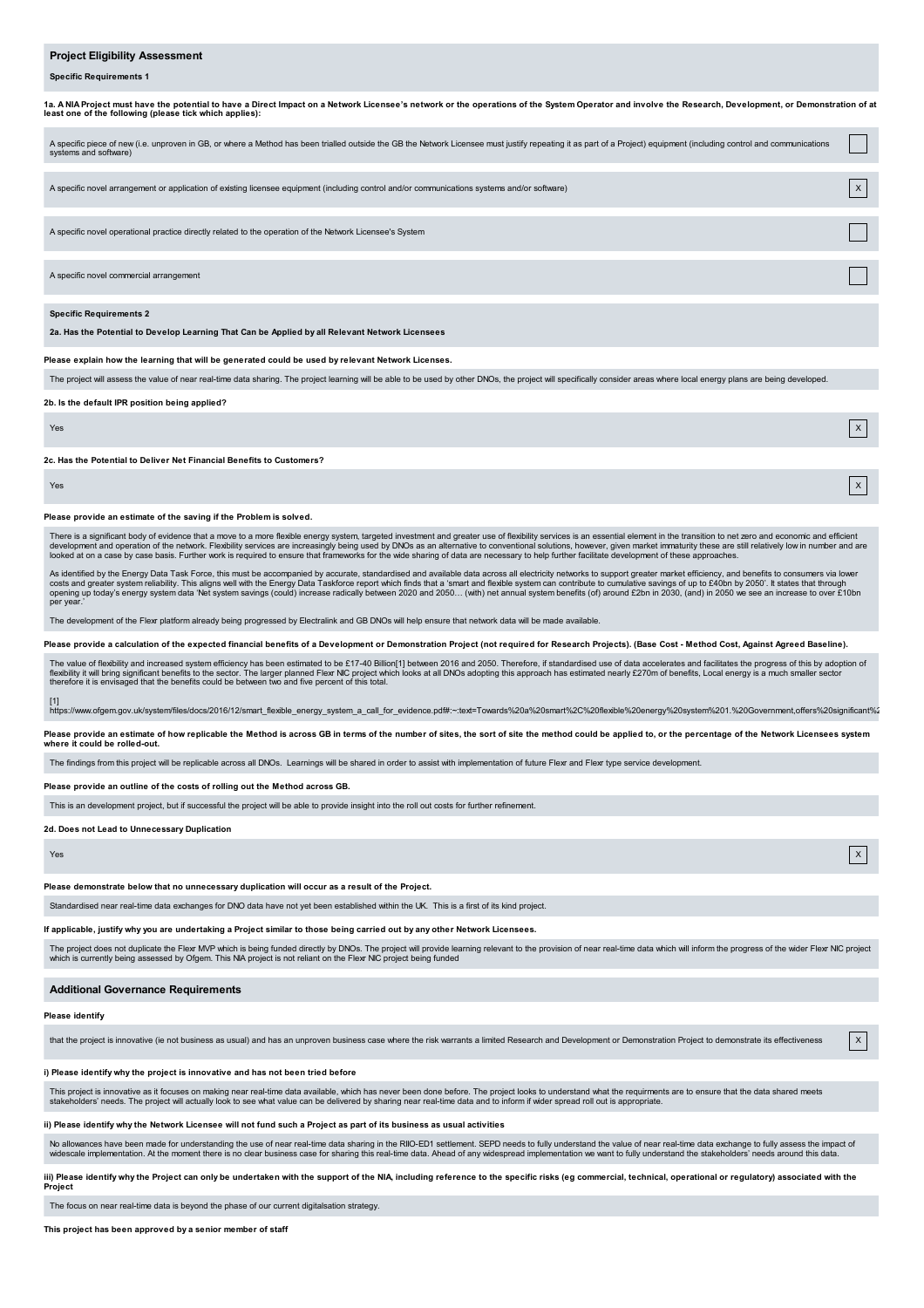#### **Project Eligibility Assessment**

**Specific Requirements 1**

1a. ANIA Project must have the potential to have a Direct Impact on a Network Licensee's network or the operations of the System Operator and involve the Research, Development, or Demonstration of at<br>least one of the follo

| A specific piece of new (i.e. unproven in GB, or where a Method has been trialled outside the GB the Network Licensee must justify repeating it as part of a Project) equipment (including control and communications<br>systems and software) |          |
|------------------------------------------------------------------------------------------------------------------------------------------------------------------------------------------------------------------------------------------------|----------|
|                                                                                                                                                                                                                                                |          |
| A specific novel arrangement or application of existing licensee equipment (including control and/or communications systems and/or software)                                                                                                   | $\times$ |
|                                                                                                                                                                                                                                                |          |
| A specific novel operational practice directly related to the operation of the Network Licensee's System                                                                                                                                       |          |
|                                                                                                                                                                                                                                                |          |
| A specific novel commercial arrangement                                                                                                                                                                                                        |          |
|                                                                                                                                                                                                                                                |          |
| <b>Specific Requirements 2</b>                                                                                                                                                                                                                 |          |
| 2a. Has the Potential to Develop Learning That Can be Applied by all Relevant Network Licensees                                                                                                                                                |          |

**Please explain how the learning that will be generated could be used by relevant Network Licenses.**

The project will assess the value of near real-time data sharing. The project learning will be able to be used by other DNOs, the project will specifically consider areas where local energy plans are being developed.

| 2b. Is the default IPR position being applied?                        |                           |
|-----------------------------------------------------------------------|---------------------------|
| Yes                                                                   | $\boldsymbol{\mathsf{x}}$ |
| 2c. Has the Potential to Deliver Net Financial Benefits to Customers? |                           |
|                                                                       |                           |

Yes the contract of the contract of the contract of the contract of the contract of the contract of  $X$   $|\;X$ 

#### **Please provide an estimate of the saving if the Problem is solved.**

There is a significant body of evidence that a move to a more flexible energy system, targeted investment and greater use of flexibility services is an essential element in the transition to net zero and economic and effic

As identified by the Energy Data Task Force, this must be accompanied by accurate, standardised and available data across all electricity networks to support greater market efficiency, and benefits to consumers via lower<br>c

The development of the Flexr platform already being progressed by Electralink and GB DNOs will help ensure that network data will be made available

Please provide a calculation of the expected financial benefits of a Development or Demonstration Project (not required for Research Projects). (Base Cost - Method Cost, Against Agreed Baseline).

The value of flexibility and increased system efficiency has been estimated to be £17-40 Billion[1] between 2016 and 2050. Therefore, if standardised use of data accelerates and facilitates the progress of this by adoption

[1]<br>https://www.ofgem.gov.uk/system/files/docs/2016/12/smart\_flexible\_energy\_system\_a\_call\_for\_evidence.pdf#:~:text=Towards%20a%20smart%2C%20flexible%20energy%20system%201.%20Government,offers%20significant%2

Please provide an estimate of how replicable the Method is across GB in terms of the number of sites, the sort of site the method could be applied to, or the percentage of the Network Licensees system **where it could be rolled-out.**

The findings from this project will be replicable across all DNOs. Learnings will be shared in order to assist with implementation of future Flexr and Flexr type service development.

#### **Please provide an outline of the costs of rolling out the Method across GB.**

This is an development project, but if successful the project will be able to provide insight into the roll out costs for further refinement.

**2d. Does not Lead to Unnecessary Duplication**

Yes the contract of the contract of the contract of the contract of the contract of the contract of  $X$   $|\;X$ 

**Please demonstrate below that no unnecessary duplication will occur as a result of the Project.**

Standardised near real-time data exchanges for DNO data have not yet been established within the UK. This is a first of its kind project.

If applicable, justify why you are undertaking a Project similar to those being carried out by any other Network Licensees.

The project does not duplicate the Flexr MVP which is being funded directly by DNOs. The project will provide learning relevant to the provision of near real-time data which will inform the progress of the wider Flexr NIC

#### **Additional Governance Requirements**

# **Please identify**

that the project is innovative (ie not business as usual) and has an unproven business case where the risk warrants a limited Research and Development or Demonstration Project to demonstrate its effectiveness

#### **i) Please identify why the project is innovative and has not been tried before**

This project is innovative as it focuses on making near real-time data available, which has never been done before. The project looks to understand what the requirments are to ensure that the data shared meets<br>stakeholders

ii) Please identify why the Network Licensee will not fund such a Project as part of its business as usual activities

No allowances have been made for understanding the use of near real-time data sharing in the RIIO-ED1 settlement. SEPD needs to fully understand the value of near real-time data exchange to fully assess the impact of wides

iii) Please identify why the Project can only be undertaken with the support of the NIA, including reference to the specific risks (eg commercial, technical, operational or regulatory) associated with the Project

The focus on near real-time data is beyond the phase of our current digitalsation strategy.

**This project has been approved by a senior member of staff**